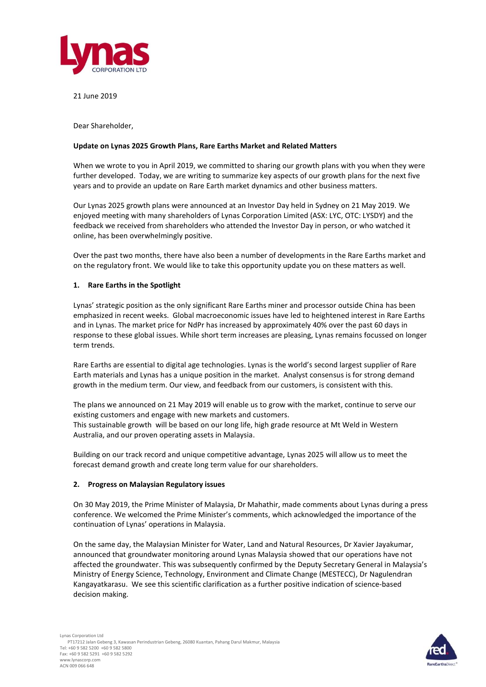

21 June 2019

Dear Shareholder,

### **Update on Lynas 2025 Growth Plans, Rare Earths Market and Related Matters**

When we wrote to you in April 2019, we committed to sharing our growth plans with you when they were further developed. Today, we are writing to summarize key aspects of our growth plans for the next five years and to provide an update on Rare Earth market dynamics and other business matters.

Our Lynas 2025 growth plans were announced at an Investor Day held in Sydney on 21 May 2019. We enjoyed meeting with many shareholders of Lynas Corporation Limited (ASX: LYC, OTC: LYSDY) and the feedback we received from shareholders who attended the Investor Day in person, or who watched it online, has been overwhelmingly positive.

Over the past two months, there have also been a number of developments in the Rare Earths market and on the regulatory front. We would like to take this opportunity update you on these matters as well.

## **1. Rare Earths in the Spotlight**

Lynas' strategic position as the only significant Rare Earths miner and processor outside China has been emphasized in recent weeks. Global macroeconomic issues have led to heightened interest in Rare Earths and in Lynas. The market price for NdPr has increased by approximately 40% over the past 60 days in response to these global issues. While short term increases are pleasing, Lynas remains focussed on longer term trends.

Rare Earths are essential to digital age technologies. Lynas is the world's second largest supplier of Rare Earth materials and Lynas has a unique position in the market. Analyst consensus is for strong demand growth in the medium term. Our view, and feedback from our customers, is consistent with this.

The plans we announced on 21 May 2019 will enable us to grow with the market, continue to serve our existing customers and engage with new markets and customers.

This sustainable growth will be based on our long life, high grade resource at Mt Weld in Western Australia, and our proven operating assets in Malaysia.

Building on our track record and unique competitive advantage, Lynas 2025 will allow us to meet the forecast demand growth and create long term value for our shareholders.

## **2. Progress on Malaysian Regulatory issues**

On 30 May 2019, the Prime Minister of Malaysia, Dr Mahathir, made comments about Lynas during a press conference. We welcomed the Prime Minister's comments, which acknowledged the importance of the continuation of Lynas' operations in Malaysia.

On the same day, the Malaysian Minister for Water, Land and Natural Resources, Dr Xavier Jayakumar, announced that groundwater monitoring around Lynas Malaysia showed that our operations have not affected the groundwater. This was subsequently confirmed by the Deputy Secretary General in Malaysia's Ministry of Energy Science, Technology, Environment and Climate Change (MESTECC), Dr Nagulendran Kangayatkarasu. We see this scientific clarification as a further positive indication of science-based decision making.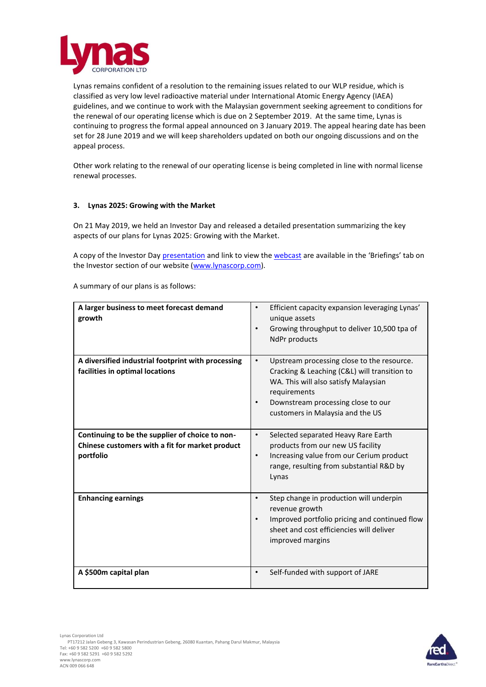

Lynas remains confident of a resolution to the remaining issues related to our WLP residue, which is classified as very low level radioactive material under International Atomic Energy Agency (IAEA) guidelines, and we continue to work with the Malaysian government seeking agreement to conditions for the renewal of our operating license which is due on 2 September 2019. At the same time, Lynas is continuing to progress the formal appeal announced on 3 January 2019. The appeal hearing date has been set for 28 June 2019 and we will keep shareholders updated on both our ongoing discussions and on the appeal process.

Other work relating to the renewal of our operating license is being completed in line with normal license renewal processes.

## **3. Lynas 2025: Growing with the Market**

On 21 May 2019, we held an Investor Day and released a detailed presentation summarizing the key aspects of our plans for Lynas 2025: Growing with the Market.

A copy of the Investor Day [presentation](https://www.lynascorp.com/Shared%20Documents/Lynas%202025%20-%20Growing%20with%20the%20Market%20Investor%20Day%20Presentation.pdf) and link to view the [webcast](https://edge.media-server.com/m6/p/vhrw6on2) are available in the 'Briefings' tab on the Investor section of our website [\(www.lynascorp.com\)](http://www.lynascorp.com/).

A summary of our plans is as follows:

| A larger business to meet forecast demand<br>growth                                                             | Efficient capacity expansion leveraging Lynas'<br>$\bullet$<br>unique assets<br>Growing throughput to deliver 10,500 tpa of<br>$\bullet$<br>NdPr products                                                                                              |
|-----------------------------------------------------------------------------------------------------------------|--------------------------------------------------------------------------------------------------------------------------------------------------------------------------------------------------------------------------------------------------------|
| A diversified industrial footprint with processing<br>facilities in optimal locations                           | Upstream processing close to the resource.<br>$\bullet$<br>Cracking & Leaching (C&L) will transition to<br>WA. This will also satisfy Malaysian<br>requirements<br>Downstream processing close to our<br>$\bullet$<br>customers in Malaysia and the US |
| Continuing to be the supplier of choice to non-<br>Chinese customers with a fit for market product<br>portfolio | Selected separated Heavy Rare Earth<br>$\bullet$<br>products from our new US facility<br>Increasing value from our Cerium product<br>$\bullet$<br>range, resulting from substantial R&D by<br>Lynas                                                    |
| <b>Enhancing earnings</b>                                                                                       | Step change in production will underpin<br>$\bullet$<br>revenue growth<br>Improved portfolio pricing and continued flow<br>$\bullet$<br>sheet and cost efficiencies will deliver<br>improved margins                                                   |
| A \$500m capital plan                                                                                           | Self-funded with support of JARE<br>$\bullet$                                                                                                                                                                                                          |

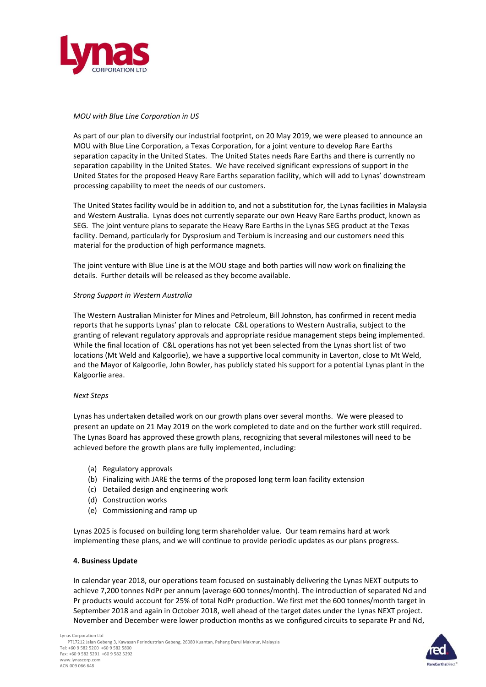

# *MOU with Blue Line Corporation in US*

As part of our plan to diversify our industrial footprint, on 20 May 2019, we were pleased to announce an MOU with Blue Line Corporation, a Texas Corporation, for a joint venture to develop Rare Earths separation capacity in the United States. The United States needs Rare Earths and there is currently no separation capability in the United States. We have received significant expressions of support in the United States for the proposed Heavy Rare Earths separation facility, which will add to Lynas' downstream processing capability to meet the needs of our customers.

The United States facility would be in addition to, and not a substitution for, the Lynas facilities in Malaysia and Western Australia. Lynas does not currently separate our own Heavy Rare Earths product, known as SEG. The joint venture plans to separate the Heavy Rare Earths in the Lynas SEG product at the Texas facility. Demand, particularly for Dysprosium and Terbium is increasing and our customers need this material for the production of high performance magnets.

The joint venture with Blue Line is at the MOU stage and both parties will now work on finalizing the details. Further details will be released as they become available.

## *Strong Support in Western Australia*

The Western Australian Minister for Mines and Petroleum, Bill Johnston, has confirmed in recent media reports that he supports Lynas' plan to relocate C&L operations to Western Australia, subject to the granting of relevant regulatory approvals and appropriate residue management steps being implemented. While the final location of C&L operations has not yet been selected from the Lynas short list of two locations (Mt Weld and Kalgoorlie), we have a supportive local community in Laverton, close to Mt Weld, and the Mayor of Kalgoorlie, John Bowler, has publicly stated his support for a potential Lynas plant in the Kalgoorlie area.

#### *Next Steps*

Lynas has undertaken detailed work on our growth plans over several months. We were pleased to present an update on 21 May 2019 on the work completed to date and on the further work still required. The Lynas Board has approved these growth plans, recognizing that several milestones will need to be achieved before the growth plans are fully implemented, including:

- (a) Regulatory approvals
- (b) Finalizing with JARE the terms of the proposed long term loan facility extension
- (c) Detailed design and engineering work
- (d) Construction works
- (e) Commissioning and ramp up

Lynas 2025 is focused on building long term shareholder value. Our team remains hard at work implementing these plans, and we will continue to provide periodic updates as our plans progress.

### **4. Business Update**

In calendar year 2018, our operations team focused on sustainably delivering the Lynas NEXT outputs to achieve 7,200 tonnes NdPr per annum (average 600 tonnes/month). The introduction of separated Nd and Pr products would account for 25% of total NdPr production. We first met the 600 tonnes/month target in September 2018 and again in October 2018, well ahead of the target dates under the Lynas NEXT project. November and December were lower production months as we configured circuits to separate Pr and Nd,